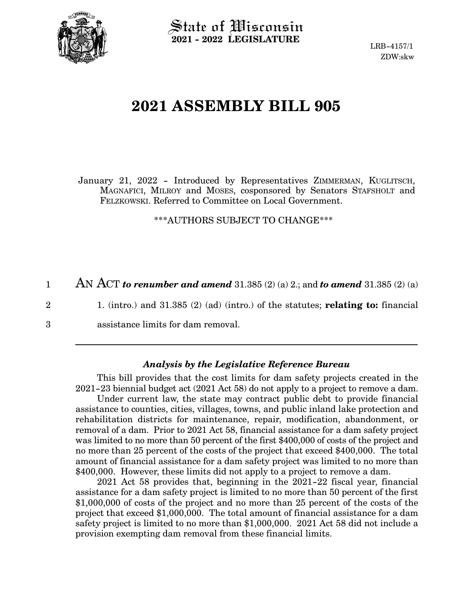

State of Wisconsin **2021 - 2022 LEGISLATURE**

LRB-4157/1 ZDW:skw

## **2021 ASSEMBLY BILL 905**

January 21, 2022 - Introduced by Representatives ZIMMERMAN, KUGLITSCH, MAGNAFICI, MILROY and MOSES, cosponsored by Senators STAFSHOLT and FELZKOWSKI. Referred to Committee on Local Government.

\*\*\*AUTHORS SUBJECT TO CHANGE\*\*\*

AN ACT *to renumber and amend* 31.385 (2) (a) 2.; and *to amend* 31.385 (2) (a) 1

2

3

1. (intro.) and 31.385 (2) (ad) (intro.) of the statutes; **relating to:** financial

assistance limits for dam removal.

## *Analysis by the Legislative Reference Bureau*

This bill provides that the cost limits for dam safety projects created in the 2021-23 biennial budget act (2021 Act 58) do not apply to a project to remove a dam.

Under current law, the state may contract public debt to provide financial assistance to counties, cities, villages, towns, and public inland lake protection and rehabilitation districts for maintenance, repair, modification, abandonment, or removal of a dam. Prior to 2021 Act 58, financial assistance for a dam safety project was limited to no more than 50 percent of the first \$400,000 of costs of the project and no more than 25 percent of the costs of the project that exceed \$400,000. The total amount of financial assistance for a dam safety project was limited to no more than \$400,000. However, these limits did not apply to a project to remove a dam.

2021 Act 58 provides that, beginning in the 2021-22 fiscal year, financial assistance for a dam safety project is limited to no more than 50 percent of the first \$1,000,000 of costs of the project and no more than 25 percent of the costs of the project that exceed \$1,000,000. The total amount of financial assistance for a dam safety project is limited to no more than \$1,000,000. 2021 Act 58 did not include a provision exempting dam removal from these financial limits.